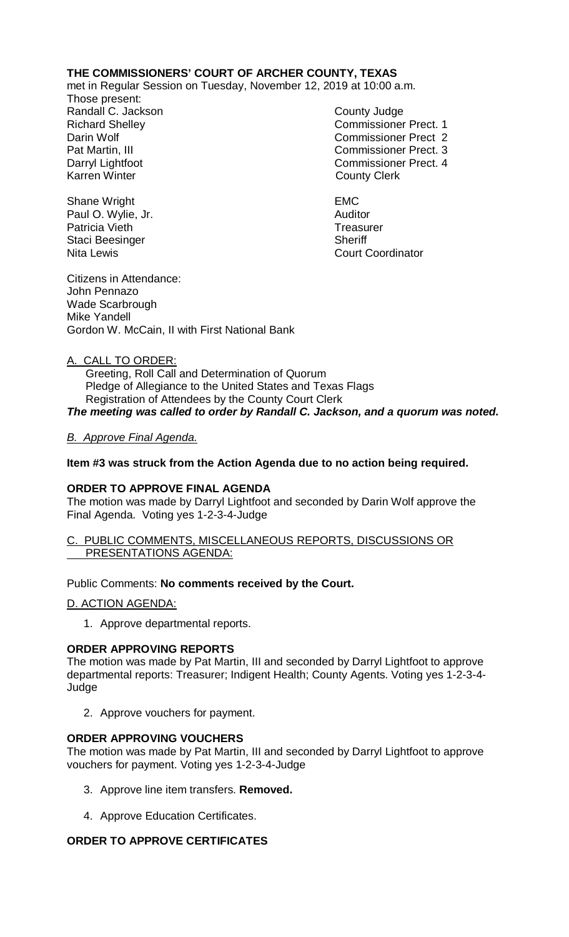# **THE COMMISSIONERS' COURT OF ARCHER COUNTY, TEXAS**

met in Regular Session on Tuesday, November 12, 2019 at 10:00 a.m.

Those present: Randall C. Jackson County Judge

Richard Shelley Commissioner Prect. 1 Darin Wolf Commissioner Prect 2 Pat Martin, III Commissioner Prect. 3 Darryl Lightfoot **Commissioner Prect. 4**<br>
Karren Winter **County County Clerk County Clerk** 

Nita Lewis **Court Coordinator** Court Coordinator

Shane Wright **EMC** Paul O. Wylie, Jr. **Auditor Paul O. Wylie, Jr. Auditor** Patricia Vieth Treasurer Staci Beesinger Sheriff

Citizens in Attendance: John Pennazo Wade Scarbrough Mike Yandell Gordon W. McCain, II with First National Bank

### A. CALL TO ORDER:

 Greeting, Roll Call and Determination of Quorum Pledge of Allegiance to the United States and Texas Flags Registration of Attendees by the County Court Clerk *The meeting was called to order by Randall C. Jackson, and a quorum was noted.*

## *B. Approve Final Agenda.*

## **Item #3 was struck from the Action Agenda due to no action being required.**

### **ORDER TO APPROVE FINAL AGENDA**

The motion was made by Darryl Lightfoot and seconded by Darin Wolf approve the Final Agenda. Voting yes 1-2-3-4-Judge

### C. PUBLIC COMMENTS, MISCELLANEOUS REPORTS, DISCUSSIONS OR PRESENTATIONS AGENDA:

## Public Comments: **No comments received by the Court.**

### D. ACTION AGENDA:

1. Approve departmental reports.

### **ORDER APPROVING REPORTS**

The motion was made by Pat Martin, III and seconded by Darryl Lightfoot to approve departmental reports: Treasurer; Indigent Health; County Agents. Voting yes 1-2-3-4- Judge

2. Approve vouchers for payment.

### **ORDER APPROVING VOUCHERS**

The motion was made by Pat Martin, III and seconded by Darryl Lightfoot to approve vouchers for payment. Voting yes 1-2-3-4-Judge

- 3. Approve line item transfers. **Removed.**
- 4. Approve Education Certificates.

## **ORDER TO APPROVE CERTIFICATES**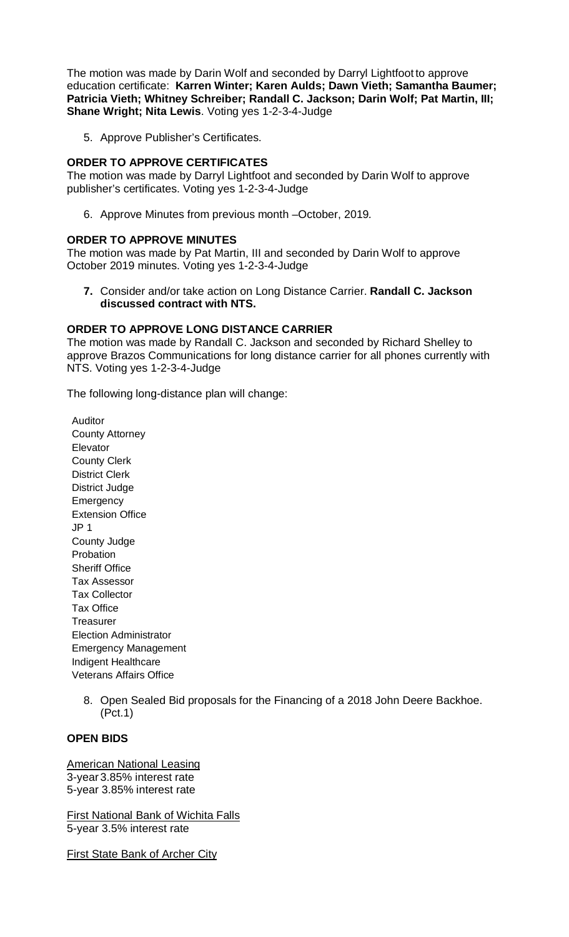The motion was made by Darin Wolf and seconded by Darryl Lightfoot to approve education certificate: **Karren Winter; Karen Aulds; Dawn Vieth; Samantha Baumer; Patricia Vieth; Whitney Schreiber; Randall C. Jackson; Darin Wolf; Pat Martin, III; Shane Wright; Nita Lewis**. Voting yes 1-2-3-4-Judge

5. Approve Publisher's Certificates.

# **ORDER TO APPROVE CERTIFICATES**

The motion was made by Darryl Lightfoot and seconded by Darin Wolf to approve publisher's certificates. Voting yes 1-2-3-4-Judge

6. Approve Minutes from previous month –October, 2019*.*

### **ORDER TO APPROVE MINUTES**

The motion was made by Pat Martin, III and seconded by Darin Wolf to approve October 2019 minutes. Voting yes 1-2-3-4-Judge

**7.** Consider and/or take action on Long Distance Carrier. **Randall C. Jackson discussed contract with NTS.** 

### **ORDER TO APPROVE LONG DISTANCE CARRIER**

The motion was made by Randall C. Jackson and seconded by Richard Shelley to approve Brazos Communications for long distance carrier for all phones currently with NTS. Voting yes 1-2-3-4-Judge

The following long-distance plan will change:

Auditor County Attorney **Elevator** County Clerk District Clerk District Judge Emergency Extension Office JP 1 County Judge Probation Sheriff Office Tax Assessor Tax Collector Tax Office **Treasurer** Election Administrator Emergency Management Indigent Healthcare Veterans Affairs Office

> 8. Open Sealed Bid proposals for the Financing of a 2018 John Deere Backhoe. (Pct.1)

# **OPEN BIDS**

American National Leasing 3-year 3.85% interest rate 5-year 3.85% interest rate

First National Bank of Wichita Falls 5-year 3.5% interest rate

**First State Bank of Archer City**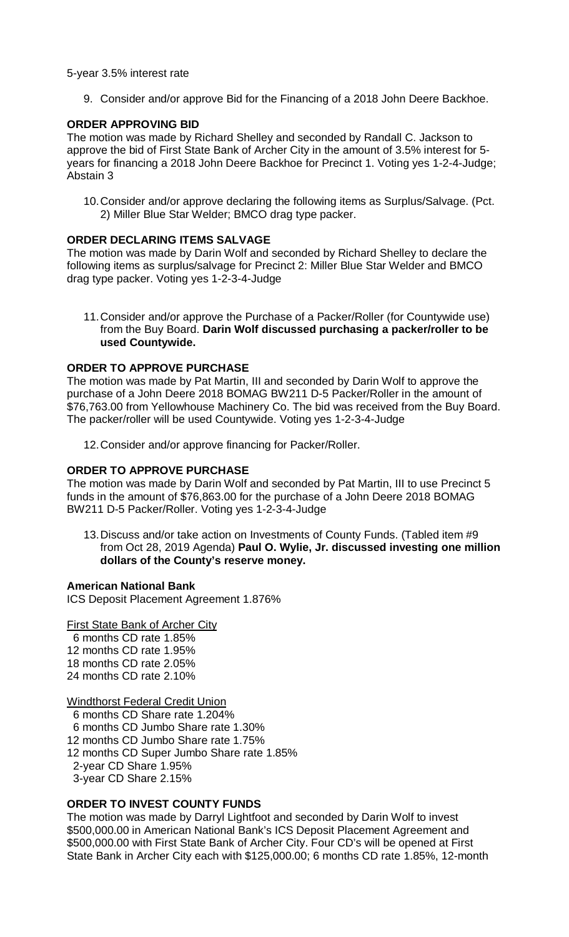### 5-year 3.5% interest rate

9. Consider and/or approve Bid for the Financing of a 2018 John Deere Backhoe.

## **ORDER APPROVING BID**

The motion was made by Richard Shelley and seconded by Randall C. Jackson to approve the bid of First State Bank of Archer City in the amount of 3.5% interest for 5 years for financing a 2018 John Deere Backhoe for Precinct 1. Voting yes 1-2-4-Judge; Abstain 3

10.Consider and/or approve declaring the following items as Surplus/Salvage. (Pct. 2) Miller Blue Star Welder; BMCO drag type packer.

## **ORDER DECLARING ITEMS SALVAGE**

The motion was made by Darin Wolf and seconded by Richard Shelley to declare the following items as surplus/salvage for Precinct 2: Miller Blue Star Welder and BMCO drag type packer. Voting yes 1-2-3-4-Judge

11.Consider and/or approve the Purchase of a Packer/Roller (for Countywide use) from the Buy Board. **Darin Wolf discussed purchasing a packer/roller to be used Countywide.**

## **ORDER TO APPROVE PURCHASE**

The motion was made by Pat Martin, III and seconded by Darin Wolf to approve the purchase of a John Deere 2018 BOMAG BW211 D-5 Packer/Roller in the amount of \$76,763.00 from Yellowhouse Machinery Co. The bid was received from the Buy Board. The packer/roller will be used Countywide. Voting yes 1-2-3-4-Judge

12.Consider and/or approve financing for Packer/Roller.

## **ORDER TO APPROVE PURCHASE**

The motion was made by Darin Wolf and seconded by Pat Martin, III to use Precinct 5 funds in the amount of \$76,863.00 for the purchase of a John Deere 2018 BOMAG BW211 D-5 Packer/Roller. Voting yes 1-2-3-4-Judge

13.Discuss and/or take action on Investments of County Funds. (Tabled item #9 from Oct 28, 2019 Agenda) **Paul O. Wylie, Jr. discussed investing one million dollars of the County's reserve money.**

### **American National Bank**

ICS Deposit Placement Agreement 1.876%

### First State Bank of Archer City

 6 months CD rate 1.85% 12 months CD rate 1.95% 18 months CD rate 2.05% 24 months CD rate 2.10%

### Windthorst Federal Credit Union

6 months CD Share rate 1.204%

- 6 months CD Jumbo Share rate 1.30%
- 12 months CD Jumbo Share rate 1.75%
- 12 months CD Super Jumbo Share rate 1.85%
- 2-year CD Share 1.95%
- 3-year CD Share 2.15%

## **ORDER TO INVEST COUNTY FUNDS**

The motion was made by Darryl Lightfoot and seconded by Darin Wolf to invest \$500,000.00 in American National Bank's ICS Deposit Placement Agreement and \$500,000.00 with First State Bank of Archer City. Four CD's will be opened at First State Bank in Archer City each with \$125,000.00; 6 months CD rate 1.85%, 12-month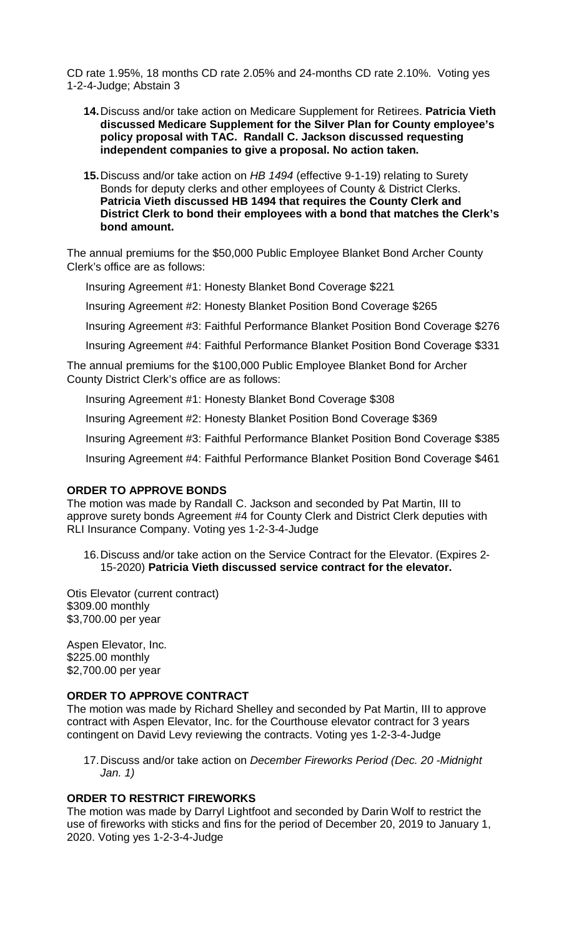CD rate 1.95%, 18 months CD rate 2.05% and 24-months CD rate 2.10%. Voting yes 1-2-4-Judge; Abstain 3

- **14.**Discuss and/or take action on Medicare Supplement for Retirees. **Patricia Vieth discussed Medicare Supplement for the Silver Plan for County employee's policy proposal with TAC. Randall C. Jackson discussed requesting independent companies to give a proposal. No action taken.**
- **15.**Discuss and/or take action on *HB 1494* (effective 9-1-19) relating to Surety Bonds for deputy clerks and other employees of County & District Clerks. **Patricia Vieth discussed HB 1494 that requires the County Clerk and District Clerk to bond their employees with a bond that matches the Clerk's bond amount.**

The annual premiums for the \$50,000 Public Employee Blanket Bond Archer County Clerk's office are as follows:

Insuring Agreement #1: Honesty Blanket Bond Coverage \$221

Insuring Agreement #2: Honesty Blanket Position Bond Coverage \$265

Insuring Agreement #3: Faithful Performance Blanket Position Bond Coverage \$276

Insuring Agreement #4: Faithful Performance Blanket Position Bond Coverage \$331

The annual premiums for the \$100,000 Public Employee Blanket Bond for Archer County District Clerk's office are as follows:

Insuring Agreement #1: Honesty Blanket Bond Coverage \$308

Insuring Agreement #2: Honesty Blanket Position Bond Coverage \$369

Insuring Agreement #3: Faithful Performance Blanket Position Bond Coverage \$385

Insuring Agreement #4: Faithful Performance Blanket Position Bond Coverage \$461

### **ORDER TO APPROVE BONDS**

The motion was made by Randall C. Jackson and seconded by Pat Martin, III to approve surety bonds Agreement #4 for County Clerk and District Clerk deputies with RLI Insurance Company. Voting yes 1-2-3-4-Judge

16.Discuss and/or take action on the Service Contract for the Elevator. (Expires 2- 15-2020) **Patricia Vieth discussed service contract for the elevator.**

Otis Elevator (current contract) \$309.00 monthly \$3,700.00 per year

Aspen Elevator, Inc. \$225.00 monthly \$2,700.00 per year

### **ORDER TO APPROVE CONTRACT**

The motion was made by Richard Shelley and seconded by Pat Martin, III to approve contract with Aspen Elevator, Inc. for the Courthouse elevator contract for 3 years contingent on David Levy reviewing the contracts. Voting yes 1-2-3-4-Judge

17.Discuss and/or take action on *December Fireworks Period (Dec. 20 -Midnight Jan. 1)*

### **ORDER TO RESTRICT FIREWORKS**

The motion was made by Darryl Lightfoot and seconded by Darin Wolf to restrict the use of fireworks with sticks and fins for the period of December 20, 2019 to January 1, 2020. Voting yes 1-2-3-4-Judge